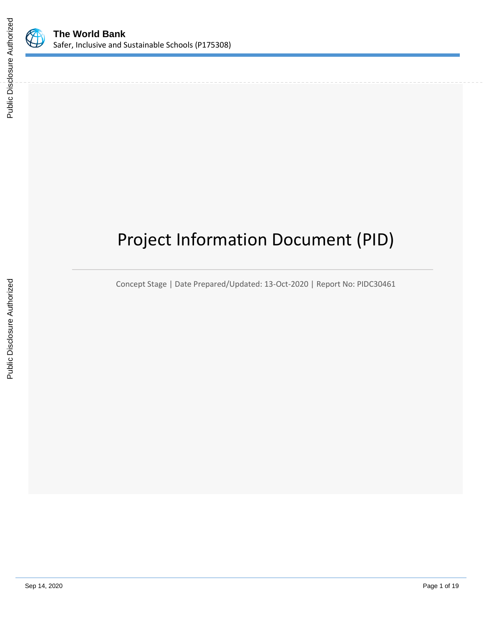

# Project Information Document (PID)

Concept Stage | Date Prepared/Updated: 13-Oct-2020 | Report No: PIDC30461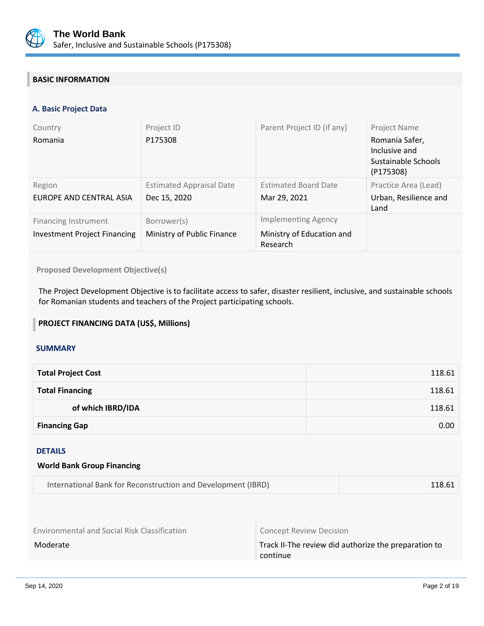

# **BASIC INFORMATION**

## **A. Basic Project Data**

| Country<br>Romania                                                 | Project ID<br>P175308                           | Parent Project ID (if any)                                          | Project Name<br>Romania Safer,<br>Inclusive and<br>Sustainable Schools<br>(P175308) |
|--------------------------------------------------------------------|-------------------------------------------------|---------------------------------------------------------------------|-------------------------------------------------------------------------------------|
| Region<br>EUROPE AND CENTRAL ASIA                                  | <b>Estimated Appraisal Date</b><br>Dec 15, 2020 | <b>Estimated Board Date</b><br>Mar 29, 2021                         | Practice Area (Lead)<br>Urban, Resilience and<br>Land                               |
| <b>Financing Instrument</b><br><b>Investment Project Financing</b> | Borrower(s)<br>Ministry of Public Finance       | <b>Implementing Agency</b><br>Ministry of Education and<br>Research |                                                                                     |

**Proposed Development Objective(s)** 

The Project Development Objective is to facilitate access to safer, disaster resilient, inclusive, and sustainable schools for Romanian students and teachers of the Project participating schools.

## **PROJECT FINANCING DATA (US\$, Millions)**

## **SUMMARY**

| <b>Total Project Cost</b> | 118.61 |
|---------------------------|--------|
| <b>Total Financing</b>    | 118.61 |
| of which IBRD/IDA         | 118.61 |
| <b>Financing Gap</b>      | 0.00   |

#### DETAILS

| <b>World Bank Group Financing</b>                            |        |  |
|--------------------------------------------------------------|--------|--|
| International Bank for Reconstruction and Development (IBRD) | 118.61 |  |

Environmental and Social Risk Classification **Concept Review Decision** 

Moderate Moderate Track II-The review did authorize the preparation to continue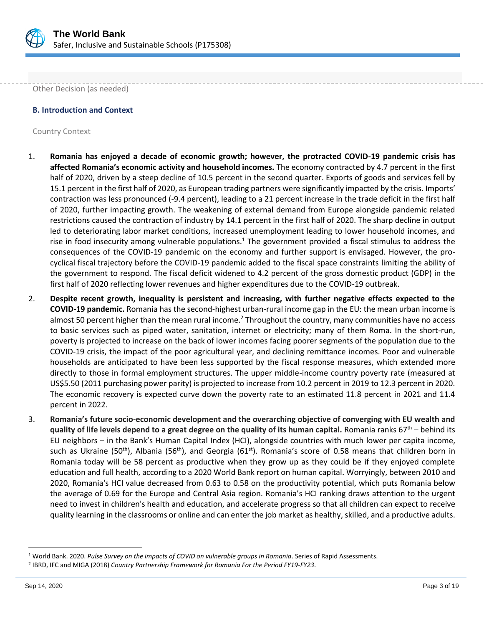

Other Decision (as needed)

## **B. Introduction and Context**

Country Context

- 1. **Romania has enjoyed a decade of economic growth; however, the protracted COVID-19 pandemic crisis has affected Romania's economic activity and household incomes.** The economy contracted by 4.7 percent in the first half of 2020, driven by a steep decline of 10.5 percent in the second quarter. Exports of goods and services fell by 15.1 percent in the first half of 2020, as European trading partners were significantly impacted by the crisis. Imports' contraction was less pronounced (-9.4 percent), leading to a 21 percent increase in the trade deficit in the first half of 2020, further impacting growth. The weakening of external demand from Europe alongside pandemic related restrictions caused the contraction of industry by 14.1 percent in the first half of 2020. The sharp decline in output led to deteriorating labor market conditions, increased unemployment leading to lower household incomes, and rise in food insecurity among vulnerable populations.<sup>1</sup> The government provided a fiscal stimulus to address the consequences of the COVID-19 pandemic on the economy and further support is envisaged. However, the procyclical fiscal trajectory before the COVID-19 pandemic added to the fiscal space constraints limiting the ability of the government to respond. The fiscal deficit widened to 4.2 percent of the gross domestic product (GDP) in the first half of 2020 reflecting lower revenues and higher expenditures due to the COVID-19 outbreak.
- 2. **Despite recent growth, inequality is persistent and increasing, with further negative effects expected to the COVID-19 pandemic.** Romania has the second-highest urban-rural income gap in the EU: the mean urban income is almost 50 percent higher than the mean rural income.<sup>2</sup> Throughout the country, many communities have no access to basic services such as piped water, sanitation, internet or electricity; many of them Roma. In the short-run, poverty is projected to increase on the back of lower incomes facing poorer segments of the population due to the COVID-19 crisis, the impact of the poor agricultural year, and declining remittance incomes. Poor and vulnerable households are anticipated to have been less supported by the fiscal response measures, which extended more directly to those in formal employment structures. The upper middle-income country poverty rate (measured at US\$5.50 (2011 purchasing power parity) is projected to increase from 10.2 percent in 2019 to 12.3 percent in 2020. The economic recovery is expected curve down the poverty rate to an estimated 11.8 percent in 2021 and 11.4 percent in 2022.
- 3. **Romania's future socio-economic development and the overarching objective of converging with EU wealth and quality of life levels depend to a great degree on the quality of its human capital. Romania ranks 67<sup>th</sup> – behind its** EU neighbors – in the Bank's Human Capital Index (HCI), alongside countries with much lower per capita income, such as Ukraine (50<sup>th</sup>), Albania (56<sup>th</sup>), and Georgia (61<sup>st</sup>). Romania's score of 0.58 means that children born in Romania today will be 58 percent as productive when they grow up as they could be if they enjoyed complete education and full health, according to a 2020 World Bank report on human capital. Worryingly, between 2010 and 2020, Romania's HCI value decreased from 0.63 to 0.58 on the productivity potential, which puts Romania below the average of 0.69 for the Europe and Central Asia region. Romania's HCI ranking draws attention to the urgent need to invest in children's health and education, and accelerate progress so that all children can expect to receive quality learning in the classrooms or online and can enter the job market as healthy, skilled, and a productive adults.

<sup>1</sup> World Bank. 2020. *Pulse Survey on the impacts of COVID on vulnerable groups in Romania*. Series of Rapid Assessments.

<sup>2</sup> IBRD, IFC and MIGA (2018) *Country Partnership Framework for Romania For the Period FY19-FY23*.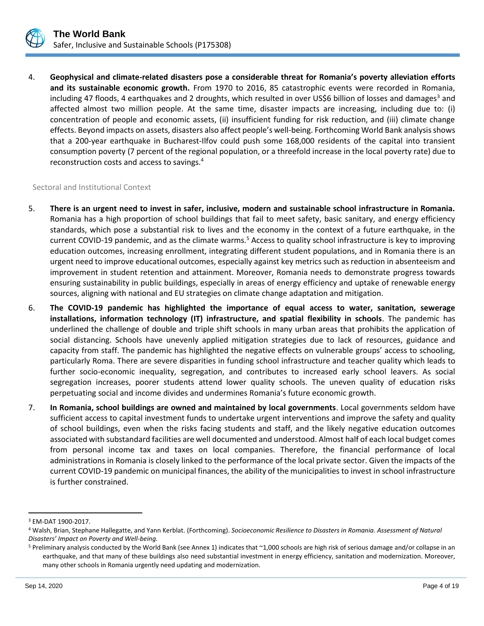

4. **Geophysical and climate-related disasters pose a considerable threat for Romania's poverty alleviation efforts and its sustainable economic growth.** From 1970 to 2016, 85 catastrophic events were recorded in Romania, including 47 floods, 4 earthquakes and 2 droughts, which resulted in over US\$6 billion of losses and damages<sup>3</sup> and affected almost two million people. At the same time, disaster impacts are increasing, including due to: (i) concentration of people and economic assets, (ii) insufficient funding for risk reduction, and (iii) climate change effects. Beyond impacts on assets, disasters also affect people's well-being. Forthcoming World Bank analysis shows that a 200-year earthquake in Bucharest-Ilfov could push some 168,000 residents of the capital into transient consumption poverty (7 percent of the regional population, or a threefold increase in the local poverty rate) due to reconstruction costs and access to savings.<sup>4</sup>

#### Sectoral and Institutional Context

- 5. **There is an urgent need to invest in safer, inclusive, modern and sustainable school infrastructure in Romania.**  Romania has a high proportion of school buildings that fail to meet safety, basic sanitary, and energy efficiency standards, which pose a substantial risk to lives and the economy in the context of a future earthquake, in the current COVID-19 pandemic, and as the climate warms.<sup>5</sup> Access to quality school infrastructure is key to improving education outcomes, increasing enrollment, integrating different student populations, and in Romania there is an urgent need to improve educational outcomes, especially against key metrics such as reduction in absenteeism and improvement in student retention and attainment. Moreover, Romania needs to demonstrate progress towards ensuring sustainability in public buildings, especially in areas of energy efficiency and uptake of renewable energy sources, aligning with national and EU strategies on climate change adaptation and mitigation.
- 6. **The COVID-19 pandemic has highlighted the importance of equal access to water, sanitation, sewerage installations, information technology (IT) infrastructure, and spatial flexibility in schools**. The pandemic has underlined the challenge of double and triple shift schools in many urban areas that prohibits the application of social distancing. Schools have unevenly applied mitigation strategies due to lack of resources, guidance and capacity from staff. The pandemic has highlighted the negative effects on vulnerable groups' access to schooling, particularly Roma. There are severe disparities in funding school infrastructure and teacher quality which leads to further socio-economic inequality, segregation, and contributes to increased early school leavers. As social segregation increases, poorer students attend lower quality schools. The uneven quality of education risks perpetuating social and income divides and undermines Romania's future economic growth.
- 7. **In Romania, school buildings are owned and maintained by local governments**. Local governments seldom have sufficient access to capital investment funds to undertake urgent interventions and improve the safety and quality of school buildings, even when the risks facing students and staff, and the likely negative education outcomes associated with substandard facilities are well documented and understood. Almost half of each local budget comes from personal income tax and taxes on local companies. Therefore, the financial performance of local administrations in Romania is closely linked to the performance of the local private sector. Given the impacts of the current COVID-19 pandemic on municipal finances, the ability of the municipalities to invest in school infrastructure is further constrained.

<sup>3</sup> EM-DAT 1900-2017.

<sup>4</sup> Walsh, Brian, Stephane Hallegatte, and Yann Kerblat. (Forthcoming). *Socioeconomic Resilience to Disasters in Romania. Assessment of Natural Disasters' Impact on Poverty and Well-being.*

<sup>5</sup> Preliminary analysis conducted by the World Bank (see Annex 1) indicates that ~1,000 schools are high risk of serious damage and/or collapse in an earthquake, and that many of these buildings also need substantial investment in energy efficiency, sanitation and modernization. Moreover, many other schools in Romania urgently need updating and modernization.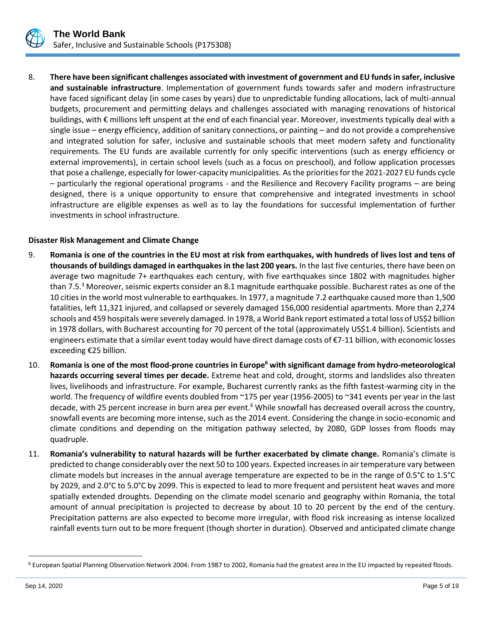

8. **There have been significant challenges associated with investment of government and EU funds in safer, inclusive and sustainable infrastructure**. Implementation of government funds towards safer and modern infrastructure have faced significant delay (in some cases by years) due to unpredictable funding allocations, lack of multi-annual budgets, procurement and permitting delays and challenges associated with managing renovations of historical buildings, with € millions left unspent at the end of each financial year. Moreover, investments typically deal with a single issue – energy efficiency, addition of sanitary connections, or painting – and do not provide a comprehensive and integrated solution for safer, inclusive and sustainable schools that meet modern safety and functionality requirements. The EU funds are available currently for only specific interventions (such as energy efficiency or external improvements), in certain school levels (such as a focus on preschool), and follow application processes that pose a challenge, especially for lower-capacity municipalities. As the priorities for the 2021-2027 EU funds cycle – particularly the regional operational programs - and the Resilience and Recovery Facility programs – are being designed, there is a unique opportunity to ensure that comprehensive and integrated investments in school infrastructure are eligible expenses as well as to lay the foundations for successful implementation of further investments in school infrastructure.

## **Disaster Risk Management and Climate Change**

- 9. **Romania is one of the countries in the EU most at risk from earthquakes, with hundreds of lives lost and tens of thousands of buildings damaged in earthquakes in the last 200 years.** In the last five centuries, there have been on average two magnitude 7+ earthquakes each century, with five earthquakes since 1802 with magnitudes higher than 7.5.<sup>3</sup> Moreover, seismic experts consider an 8.1 magnitude earthquake possible. Bucharest rates as one of the 10 cities in the world most vulnerable to earthquakes. In 1977, a magnitude 7.2 earthquake caused more than 1,500 fatalities, left 11,321 injured, and collapsed or severely damaged 156,000 residential apartments. More than 2,274 schools and 459 hospitals were severely damaged. In 1978, a World Bank report estimated a total loss of US\$2 billion in 1978 dollars, with Bucharest accounting for 70 percent of the total (approximately US\$1.4 billion). Scientists and engineers estimate that a similar event today would have direct damage costs of €7-11 billion, with economic losses exceeding €25 billion.
- 10. **Romania is one of the most flood-prone countries in Europe<sup>6</sup> with significant damage from hydro-meteorological hazards occurring several times per decade.** Extreme heat and cold, drought, storms and landslides also threaten lives, livelihoods and infrastructure. For example, Bucharest currently ranks as the fifth fastest-warming city in the world. The frequency of wildfire events doubled from ~175 per year (1956-2005) to ~341 events per year in the last decade, with 25 percent increase in burn area per event.<sup>6</sup> While snowfall has decreased overall across the country, snowfall events are becoming more intense, such as the 2014 event. Considering the change in socio-economic and climate conditions and depending on the mitigation pathway selected, by 2080, GDP losses from floods may quadruple.
- 11. **Romania's vulnerability to natural hazards will be further exacerbated by climate change.** Romania's climate is predicted to change considerably over the next 50 to 100 years. Expected increases in air temperature vary between climate models but increases in the annual average temperature are expected to be in the range of 0.5°C to 1.5°C by 2029, and 2.0°C to 5.0°C by 2099. This is expected to lead to more frequent and persistent heat waves and more spatially extended droughts. Depending on the climate model scenario and geography within Romania, the total amount of annual precipitation is projected to decrease by about 10 to 20 percent by the end of the century. Precipitation patterns are also expected to become more irregular, with flood risk increasing as intense localized rainfall events turn out to be more frequent (though shorter in duration). Observed and anticipated climate change

<sup>&</sup>lt;sup>6</sup> European Spatial Planning Observation Network 2004: From 1987 to 2002, Romania had the greatest area in the EU impacted by repeated floods.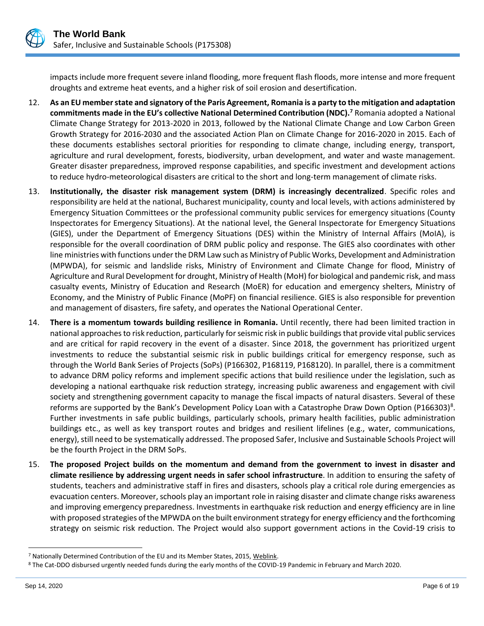

impacts include more frequent severe inland flooding, more frequent flash floods, more intense and more frequent droughts and extreme heat events, and a higher risk of soil erosion and desertification.

- 12. **As an EU member state and signatory of the Paris Agreement, Romania is a party to the mitigation and adaptation commitments made in the EU's collective National Determined Contribution (NDC).<sup>7</sup>** Romania adopted a National Climate Change Strategy for 2013-2020 in 2013, followed by the National Climate Change and Low Carbon Green Growth Strategy for 2016-2030 and the associated Action Plan on Climate Change for 2016-2020 in 2015. Each of these documents establishes sectoral priorities for responding to climate change, including energy, transport, agriculture and rural development, forests, biodiversity, urban development, and water and waste management. Greater disaster preparedness, improved response capabilities, and specific investment and development actions to reduce hydro-meteorological disasters are critical to the short and long-term management of climate risks.
- 13. **Institutionally, the disaster risk management system (DRM) is increasingly decentralized**. Specific roles and responsibility are held at the national, Bucharest municipality, county and local levels, with actions administered by Emergency Situation Committees or the professional community public services for emergency situations (County Inspectorates for Emergency Situations). At the national level, the General Inspectorate for Emergency Situations (GIES), under the Department of Emergency Situations (DES) within the Ministry of Internal Affairs (MoIA), is responsible for the overall coordination of DRM public policy and response. The GIES also coordinates with other line ministries with functions under the DRM Law such as Ministry of Public Works, Development and Administration (MPWDA), for seismic and landslide risks, Ministry of Environment and Climate Change for flood, Ministry of Agriculture and Rural Development for drought, Ministry of Health (MoH) for biological and pandemic risk, and mass casualty events, Ministry of Education and Research (MoER) for education and emergency shelters, Ministry of Economy, and the Ministry of Public Finance (MoPF) on financial resilience. GIES is also responsible for prevention and management of disasters, fire safety, and operates the National Operational Center.
- 14. **There is a momentum towards building resilience in Romania.** Until recently, there had been limited traction in national approaches to risk reduction, particularly for seismic risk in public buildings that provide vital public services and are critical for rapid recovery in the event of a disaster. Since 2018, the government has prioritized urgent investments to reduce the substantial seismic risk in public buildings critical for emergency response, such as through the World Bank Series of Projects (SoPs) (P166302, P168119, P168120). In parallel, there is a commitment to advance DRM policy reforms and implement specific actions that build resilience under the legislation, such as developing a national earthquake risk reduction strategy, increasing public awareness and engagement with civil society and strengthening government capacity to manage the fiscal impacts of natural disasters. Several of these reforms are supported by the Bank's Development Policy Loan with a Catastrophe Draw Down Option (P166303)<sup>8</sup>. Further investments in safe public buildings, particularly schools, primary health facilities, public administration buildings etc., as well as key transport routes and bridges and resilient lifelines (e.g., water, communications, energy), still need to be systematically addressed. The proposed Safer, Inclusive and Sustainable Schools Project will be the fourth Project in the DRM SoPs.
- 15. **The proposed Project builds on the momentum and demand from the government to invest in disaster and climate resilience by addressing urgent needs in safer school infrastructure**. In addition to ensuring the safety of students, teachers and administrative staff in fires and disasters, schools play a critical role during emergencies as evacuation centers. Moreover, schools play an important role in raising disaster and climate change risks awareness and improving emergency preparedness. Investments in earthquake risk reduction and energy efficiency are in line with proposed strategies of the MPWDA on the built environment strategy for energy efficiency and the forthcoming strategy on seismic risk reduction. The Project would also support government actions in the Covid-19 crisis to

<sup>7</sup> Nationally Determined Contribution of the EU and its Member States, 2015, [Weblink.](http://www4.unfccc.int/ndcregistry/PublishedDocuments/European%20Union%20First/LV-03-06-EU%20INDC.pdf)

<sup>8</sup> The Cat-DDO disbursed urgently needed funds during the early months of the COVID-19 Pandemic in February and March 2020.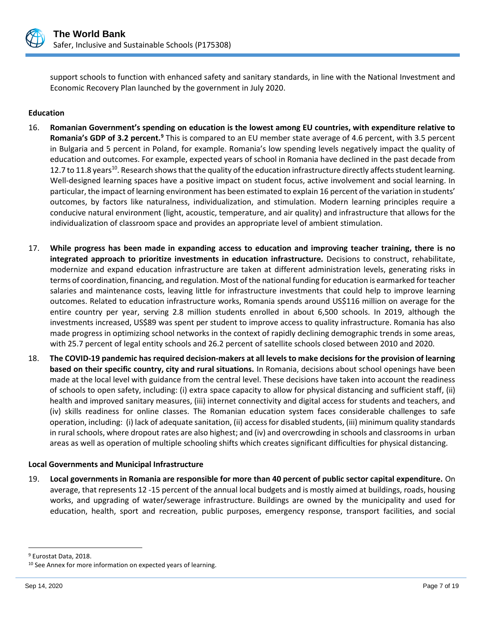

support schools to function with enhanced safety and sanitary standards, in line with the National Investment and Economic Recovery Plan launched by the government in July 2020.

## **Education**

- 16. **Romanian Government's spending on education is the lowest among EU countries, with expenditure relative to Romania's GDP of 3.2 percent.<sup>9</sup>** This is compared to an EU member state average of 4.6 percent, with 3.5 percent in Bulgaria and 5 percent in Poland, for example. Romania's low spending levels negatively impact the quality of education and outcomes. For example, expected years of school in Romania have declined in the past decade from 12.7 to 11.8 years<sup>10</sup>. Research shows that the quality of the education infrastructure directly affects student learning. Well-designed learning spaces have a positive impact on student focus, active involvement and social learning. In particular, the impact of learning environment has been estimated to explain 16 percent of the variation in students' outcomes, by factors like naturalness, individualization, and stimulation. Modern learning principles require a conducive natural environment (light, acoustic, temperature, and air quality) and infrastructure that allows for the individualization of classroom space and provides an appropriate level of ambient stimulation.
- 17. **While progress has been made in expanding access to education and improving teacher training, there is no integrated approach to prioritize investments in education infrastructure.** Decisions to construct, rehabilitate, modernize and expand education infrastructure are taken at different administration levels, generating risks in terms of coordination, financing, and regulation. Most of the national funding for education is earmarked for teacher salaries and maintenance costs, leaving little for infrastructure investments that could help to improve learning outcomes. Related to education infrastructure works, Romania spends around US\$116 million on average for the entire country per year, serving 2.8 million students enrolled in about 6,500 schools. In 2019, although the investments increased, US\$89 was spent per student to improve access to quality infrastructure. Romania has also made progress in optimizing school networks in the context of rapidly declining demographic trends in some areas, with 25.7 percent of legal entity schools and 26.2 percent of satellite schools closed between 2010 and 2020.
- 18. **The COVID-19 pandemic has required decision-makers at all levels to make decisions for the provision of learning based on their specific country, city and rural situations.** In Romania, decisions about school openings have been made at the local level with guidance from the central level. These decisions have taken into account the readiness of schools to open safety, including: (i) extra space capacity to allow for physical distancing and sufficient staff, (ii) health and improved sanitary measures, (iii) internet connectivity and digital access for students and teachers, and (iv) skills readiness for online classes. The Romanian education system faces considerable challenges to safe operation, including: (i) lack of adequate sanitation, (ii) access for disabled students, (iii) minimum quality standards in rural schools, where dropout rates are also highest; and (iv) and overcrowding in schools and classrooms in urban areas as well as operation of multiple schooling shifts which creates significant difficulties for physical distancing.

## **Local Governments and Municipal Infrastructure**

19. **Local governments in Romania are responsible for more than 40 percent of public sector capital expenditure.** On average, that represents 12 -15 percent of the annual local budgets and is mostly aimed at buildings, roads, housing works, and upgrading of water/sewerage infrastructure. Buildings are owned by the municipality and used for education, health, sport and recreation, public purposes, emergency response, transport facilities, and social

<sup>9</sup> Eurostat Data, 2018.

<sup>&</sup>lt;sup>10</sup> See Annex for more information on expected years of learning.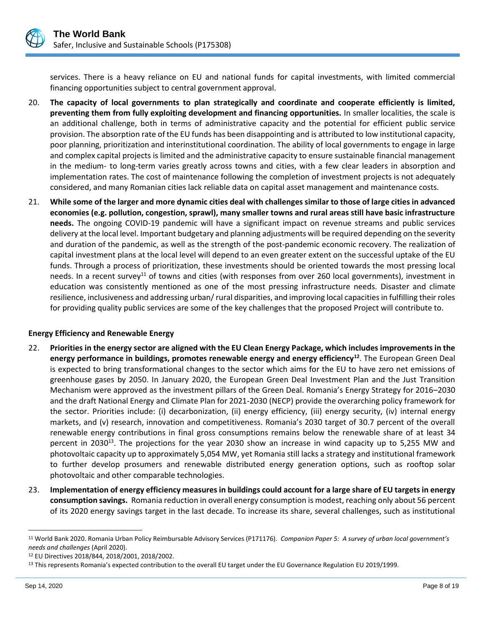

services. There is a heavy reliance on EU and national funds for capital investments, with limited commercial financing opportunities subject to central government approval.

- 20. **The capacity of local governments to plan strategically and coordinate and cooperate efficiently is limited, preventing them from fully exploiting development and financing opportunities.** In smaller localities, the scale is an additional challenge, both in terms of administrative capacity and the potential for efficient public service provision. The absorption rate of the EU funds has been disappointing and is attributed to low institutional capacity, poor planning, prioritization and interinstitutional coordination. The ability of local governments to engage in large and complex capital projects is limited and the administrative capacity to ensure sustainable financial management in the medium- to long-term varies greatly across towns and cities, with a few clear leaders in absorption and implementation rates. The cost of maintenance following the completion of investment projects is not adequately considered, and many Romanian cities lack reliable data on capital asset management and maintenance costs.
- 21. **While some of the larger and more dynamic cities deal with challenges similar to those of large cities in advanced economies (e.g. pollution, congestion, sprawl), many smaller towns and rural areas still have basic infrastructure needs.** The ongoing COVID-19 pandemic will have a significant impact on revenue streams and public services delivery at the local level. Important budgetary and planning adjustments will be required depending on the severity and duration of the pandemic, as well as the strength of the post-pandemic economic recovery. The realization of capital investment plans at the local level will depend to an even greater extent on the successful uptake of the EU funds. Through a process of prioritization, these investments should be oriented towards the most pressing local needs. In a recent survey<sup>11</sup> of towns and cities (with responses from over 260 local governments), investment in education was consistently mentioned as one of the most pressing infrastructure needs. Disaster and climate resilience, inclusiveness and addressing urban/ rural disparities, and improving local capacities in fulfilling their roles for providing quality public services are some of the key challenges that the proposed Project will contribute to.

## **Energy Efficiency and Renewable Energy**

- 22. **Priorities in the energy sector are aligned with the EU Clean Energy Package, which includes improvements in the energy performance in buildings, promotes renewable energy and energy efficiency<sup>12</sup>**. The European Green Deal is expected to bring transformational changes to the sector which aims for the EU to have zero net emissions of greenhouse gases by 2050. In January 2020, the European Green Deal Investment Plan and the Just Transition Mechanism were approved as the investment pillars of the Green Deal. Romania's Energy Strategy for 2016–2030 and the draft National Energy and Climate Plan for 2021-2030 (NECP) provide the overarching policy framework for the sector. Priorities include: (i) decarbonization, (ii) energy efficiency, (iii) energy security, (iv) internal energy markets, and (v) research, innovation and competitiveness. Romania's 2030 target of 30.7 percent of the overall renewable energy contributions in final gross consumptions remains below the renewable share of at least 34 percent in 2030<sup>13</sup>. The projections for the year 2030 show an increase in wind capacity up to 5,255 MW and photovoltaic capacity up to approximately 5,054 MW, yet Romania still lacks a strategy and institutional framework to further develop prosumers and renewable distributed energy generation options, such as rooftop solar photovoltaic and other comparable technologies.
- 23. **Implementation of energy efficiency measures in buildings could account for a large share of EU targets in energy consumption savings.** Romania reduction in overall energy consumption is modest, reaching only about 56 percent of its 2020 energy savings target in the last decade. To increase its share, several challenges, such as institutional

<sup>11</sup> World Bank 2020. Romania Urban Policy Reimbursable Advisory Services (P171176). *Companion Paper 5: A survey of urban local government's needs and challenges* (April 2020).

<sup>12</sup> EU Directives 2018/844, 2018/2001, 2018/2002.

<sup>&</sup>lt;sup>13</sup> This represents Romania's expected contribution to the overall EU target under the EU Governance Regulation EU 2019/1999.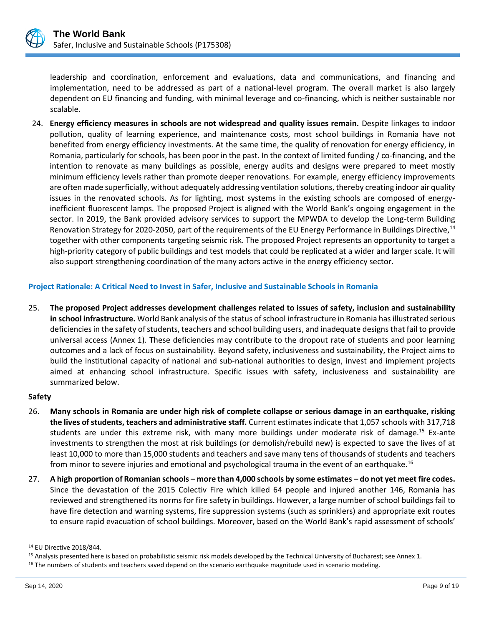

leadership and coordination, enforcement and evaluations, data and communications, and financing and implementation, need to be addressed as part of a national-level program. The overall market is also largely dependent on EU financing and funding, with minimal leverage and co-financing, which is neither sustainable nor scalable.

24. **Energy efficiency measures in schools are not widespread and quality issues remain.** Despite linkages to indoor pollution, quality of learning experience, and maintenance costs, most school buildings in Romania have not benefited from energy efficiency investments. At the same time, the quality of renovation for energy efficiency, in Romania, particularly for schools, has been poor in the past. In the context of limited funding / co-financing, and the intention to renovate as many buildings as possible, energy audits and designs were prepared to meet mostly minimum efficiency levels rather than promote deeper renovations. For example, energy efficiency improvements are often made superficially, without adequately addressing ventilation solutions, thereby creating indoor air quality issues in the renovated schools. As for lighting, most systems in the existing schools are composed of energyinefficient fluorescent lamps. The proposed Project is aligned with the World Bank's ongoing engagement in the sector. In 2019, the Bank provided advisory services to support the MPWDA to develop the Long-term Building Renovation Strategy for 2020-2050, part of the requirements of the EU Energy Performance in Buildings Directive,<sup>14</sup> together with other components targeting seismic risk. The proposed Project represents an opportunity to target a high-priority category of public buildings and test models that could be replicated at a wider and larger scale. It will also support strengthening coordination of the many actors active in the energy efficiency sector.

## **Project Rationale: A Critical Need to Invest in Safer, Inclusive and Sustainable Schools in Romania**

25. **The proposed Project addresses development challenges related to issues of safety, inclusion and sustainability in school infrastructure.** World Bank analysis of the status of school infrastructure in Romania has illustrated serious deficiencies in the safety of students, teachers and school building users, and inadequate designs that fail to provide universal access (Annex 1). These deficiencies may contribute to the dropout rate of students and poor learning outcomes and a lack of focus on sustainability. Beyond safety, inclusiveness and sustainability, the Project aims to build the institutional capacity of national and sub-national authorities to design, invest and implement projects aimed at enhancing school infrastructure. Specific issues with safety, inclusiveness and sustainability are summarized below.

## **Safety**

- 26. **Many schools in Romania are under high risk of complete collapse or serious damage in an earthquake, risking the lives of students, teachers and administrative staff.** Current estimates indicate that 1,057 schools with 317,718 students are under this extreme risk, with many more buildings under moderate risk of damage.<sup>15</sup> Ex-ante investments to strengthen the most at risk buildings (or demolish/rebuild new) is expected to save the lives of at least 10,000 to more than 15,000 students and teachers and save many tens of thousands of students and teachers from minor to severe injuries and emotional and psychological trauma in the event of an earthquake.<sup>16</sup>
- 27. **A high proportion of Romanian schools – more than 4,000 schools by some estimates – do not yet meet fire codes.** Since the devastation of the 2015 Colectiv Fire which killed 64 people and injured another 146, Romania has reviewed and strengthened its norms for fire safety in buildings. However, a large number of school buildings fail to have fire detection and warning systems, fire suppression systems (such as sprinklers) and appropriate exit routes to ensure rapid evacuation of school buildings. Moreover, based on the World Bank's rapid assessment of schools'

<sup>14</sup> EU Directive 2018/844.

<sup>15</sup> Analysis presented here is based on probabilistic seismic risk models developed by the Technical University of Bucharest; see Annex 1.

<sup>&</sup>lt;sup>16</sup> The numbers of students and teachers saved depend on the scenario earthquake magnitude used in scenario modeling.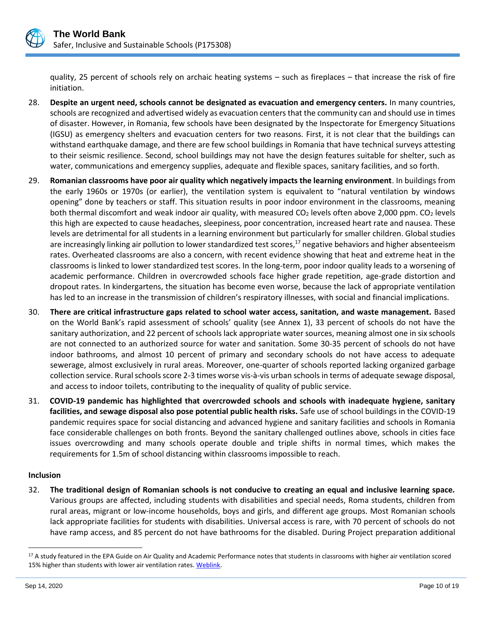

quality, 25 percent of schools rely on archaic heating systems – such as fireplaces – that increase the risk of fire initiation.

- 28. **Despite an urgent need, schools cannot be designated as evacuation and emergency centers.** In many countries, schools are recognized and advertised widely as evacuation centers that the community can and should use in times of disaster. However, in Romania, few schools have been designated by the Inspectorate for Emergency Situations (IGSU) as emergency shelters and evacuation centers for two reasons. First, it is not clear that the buildings can withstand earthquake damage, and there are few school buildings in Romania that have technical surveys attesting to their seismic resilience. Second, school buildings may not have the design features suitable for shelter, such as water, communications and emergency supplies, adequate and flexible spaces, sanitary facilities, and so forth.
- 29. **Romanian classrooms have poor air quality which negatively impacts the learning environment**. In buildings from the early 1960s or 1970s (or earlier), the ventilation system is equivalent to "natural ventilation by windows opening" done by teachers or staff. This situation results in poor indoor environment in the classrooms, meaning both thermal discomfort and weak indoor air quality, with measured  $CO<sub>2</sub>$  levels often above 2,000 ppm. CO<sub>2</sub> levels this high are expected to cause headaches, sleepiness, poor concentration, increased heart rate and nausea. These levels are detrimental for all students in a learning environment but particularly for smaller children. Global studies are increasingly linking air pollution to lower standardized test scores, $^{17}$  negative behaviors and higher absenteeism rates. Overheated classrooms are also a concern, with recent evidence showing that heat and extreme heat in the classrooms is linked to lower standardized test scores. In the long-term, poor indoor quality leads to a worsening of academic performance. Children in overcrowded schools face higher grade repetition, age-grade distortion and dropout rates. In kindergartens, the situation has become even worse, because the lack of appropriate ventilation has led to an increase in the transmission of children's respiratory illnesses, with social and financial implications.
- 30. **There are critical infrastructure gaps related to school water access, sanitation, and waste management.** Based on the World Bank's rapid assessment of schools' quality (see Annex 1), 33 percent of schools do not have the sanitary authorization, and 22 percent of schools lack appropriate water sources, meaning almost one in six schools are not connected to an authorized source for water and sanitation. Some 30-35 percent of schools do not have indoor bathrooms, and almost 10 percent of primary and secondary schools do not have access to adequate sewerage, almost exclusively in rural areas. Moreover, one-quarter of schools reported lacking organized garbage collection service. Rural schools score 2-3 times worse vis-à-vis urban schools in terms of adequate sewage disposal, and access to indoor toilets, contributing to the inequality of quality of public service.
- 31. **COVID-19 pandemic has highlighted that overcrowded schools and schools with inadequate hygiene, sanitary facilities, and sewage disposal also pose potential public health risks.** Safe use of school buildings in the COVID-19 pandemic requires space for social distancing and advanced hygiene and sanitary facilities and schools in Romania face considerable challenges on both fronts. Beyond the sanitary challenged outlines above, schools in cities face issues overcrowding and many schools operate double and triple shifts in normal times, which makes the requirements for 1.5m of school distancing within classrooms impossible to reach.

## **Inclusion**

32. **The traditional design of Romanian schools is not conducive to creating an equal and inclusive learning space.**  Various groups are affected, including students with disabilities and special needs, Roma students, children from rural areas, migrant or low-income households, boys and girls, and different age groups. Most Romanian schools lack appropriate facilities for students with disabilities. Universal access is rare, with 70 percent of schools do not have ramp access, and 85 percent do not have bathrooms for the disabled. During Project preparation additional

<sup>&</sup>lt;sup>17</sup> A study featured in the EPA Guide on Air Quality and Academic Performance notes that students in classrooms with higher air ventilation scored 15% higher than students with lower air ventilation rates. Weblink.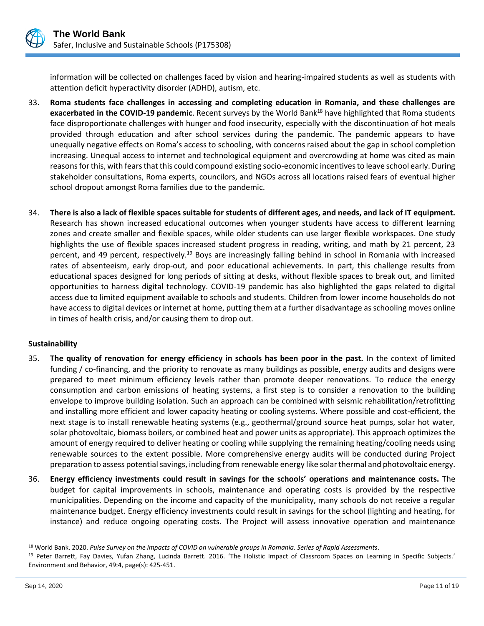

information will be collected on challenges faced by vision and hearing-impaired students as well as students with attention deficit hyperactivity disorder (ADHD), autism, etc.

- 33. **Roma students face challenges in accessing and completing education in Romania, and these challenges are exacerbated in the COVID-19 pandemic**. Recent surveys by the World Bank<sup>18</sup> have highlighted that Roma students face disproportionate challenges with hunger and food insecurity, especially with the discontinuation of hot meals provided through education and after school services during the pandemic. The pandemic appears to have unequally negative effects on Roma's access to schooling, with concerns raised about the gap in school completion increasing. Unequal access to internet and technological equipment and overcrowding at home was cited as main reasons for this, with fears that this could compound existing socio-economic incentives to leave school early. During stakeholder consultations, Roma experts, councilors, and NGOs across all locations raised fears of eventual higher school dropout amongst Roma families due to the pandemic.
- 34. **There is also a lack of flexible spaces suitable for students of different ages, and needs, and lack of IT equipment.** Research has shown increased educational outcomes when younger students have access to different learning zones and create smaller and flexible spaces, while older students can use larger flexible workspaces. One study highlights the use of flexible spaces increased student progress in reading, writing, and math by 21 percent, 23 percent, and 49 percent, respectively.<sup>19</sup> Boys are increasingly falling behind in school in Romania with increased rates of absenteeism, early drop-out, and poor educational achievements. In part, this challenge results from educational spaces designed for long periods of sitting at desks, without flexible spaces to break out, and limited opportunities to harness digital technology. COVID-19 pandemic has also highlighted the gaps related to digital access due to limited equipment available to schools and students. Children from lower income households do not have access to digital devices or internet at home, putting them at a further disadvantage as schooling moves online in times of health crisis, and/or causing them to drop out.

## **Sustainability**

- 35. **The quality of renovation for energy efficiency in schools has been poor in the past.** In the context of limited funding / co-financing, and the priority to renovate as many buildings as possible, energy audits and designs were prepared to meet minimum efficiency levels rather than promote deeper renovations. To reduce the energy consumption and carbon emissions of heating systems, a first step is to consider a renovation to the building envelope to improve building isolation. Such an approach can be combined with seismic rehabilitation/retrofitting and installing more efficient and lower capacity heating or cooling systems. Where possible and cost-efficient, the next stage is to install renewable heating systems (e.g., geothermal/ground source heat pumps, solar hot water, solar photovoltaic, biomass boilers, or combined heat and power units as appropriate). This approach optimizes the amount of energy required to deliver heating or cooling while supplying the remaining heating/cooling needs using renewable sources to the extent possible. More comprehensive energy audits will be conducted during Project preparation to assess potential savings, including from renewable energy like solar thermal and photovoltaic energy.
- 36. **Energy efficiency investments could result in savings for the schools' operations and maintenance costs.** The budget for capital improvements in schools, maintenance and operating costs is provided by the respective municipalities. Depending on the income and capacity of the municipality, many schools do not receive a regular maintenance budget. Energy efficiency investments could result in savings for the school (lighting and heating, for instance) and reduce ongoing operating costs. The Project will assess innovative operation and maintenance

<sup>18</sup> World Bank. 2020. *Pulse Survey on the impacts of COVID on vulnerable groups in Romania. Series of Rapid Assessments*.

<sup>19</sup> Peter Barrett, Fay Davies, Yufan Zhang, Lucinda Barrett. 2016. 'The Holistic Impact of Classroom Spaces on Learning in Specific Subjects.' Environment and Behavior, 49:4, page(s): 425-451.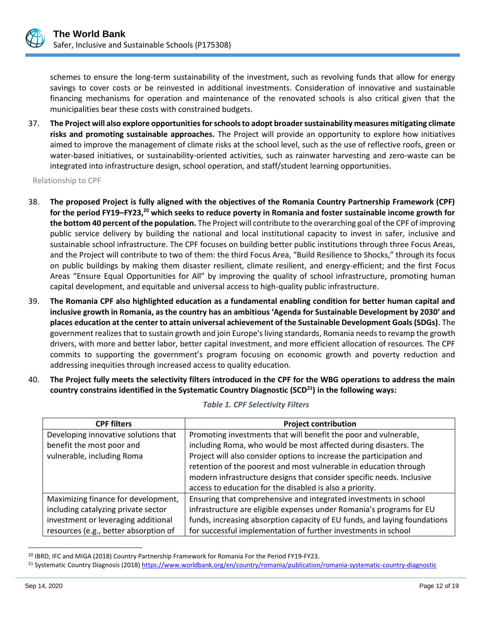schemes to ensure the long-term sustainability of the investment, such as revolving funds that allow for energy savings to cover costs or be reinvested in additional investments. Consideration of innovative and sustainable financing mechanisms for operation and maintenance of the renovated schools is also critical given that the municipalities bear these costs with constrained budgets.

37. **The Project will also explore opportunities for schools to adopt broader sustainability measures mitigating climate risks and promoting sustainable approaches.** The Project will provide an opportunity to explore how initiatives aimed to improve the management of climate risks at the school level, such as the use of reflective roofs, green or water-based initiatives, or sustainability-oriented activities, such as rainwater harvesting and zero-waste can be integrated into infrastructure design, school operation, and staff/student learning opportunities.

Relationship to CPF

- 38. **The proposed Project is fully aligned with the objectives of the Romania Country Partnership Framework (CPF) for the period FY19–FY23,<sup>20</sup> which seeks to reduce poverty in Romania and foster sustainable income growth for the bottom 40 percent of the population.** The Project will contribute to the overarching goal of the CPF of improving public service delivery by building the national and local institutional capacity to invest in safer, inclusive and sustainable school infrastructure. The CPF focuses on building better public institutions through three Focus Areas, and the Project will contribute to two of them: the third Focus Area, "Build Resilience to Shocks," through its focus on public buildings by making them disaster resilient, climate resilient, and energy-efficient; and the first Focus Areas "Ensure Equal Opportunities for All" by improving the quality of school infrastructure, promoting human capital development, and equitable and universal access to high-quality public infrastructure.
- 39. **The Romania CPF also highlighted education as a fundamental enabling condition for better human capital and inclusive growth in Romania, as the country has an ambitious 'Agenda for Sustainable Development by 2030' and places education at the center to attain universal achievement of the Sustainable Development Goals (SDGs)**. The government realizes that to sustain growth and join Europe's living standards, Romania needs to revamp the growth drivers, with more and better labor, better capital investment, and more efficient allocation of resources. The CPF commits to supporting the government's program focusing on economic growth and poverty reduction and addressing inequities through increased access to quality education.
- 40. **The Project fully meets the selectivity filters introduced in the CPF for the WBG operations to address the main country constrains identified in the Systematic Country Diagnostic (SCD<sup>21</sup>) in the following ways:**

| <b>CPF filters</b>                    | <b>Project contribution</b>                                               |  |
|---------------------------------------|---------------------------------------------------------------------------|--|
| Developing innovative solutions that  | Promoting investments that will benefit the poor and vulnerable,          |  |
| benefit the most poor and             | including Roma, who would be most affected during disasters. The          |  |
| vulnerable, including Roma            | Project will also consider options to increase the participation and      |  |
|                                       | retention of the poorest and most vulnerable in education through         |  |
|                                       | modern infrastructure designs that consider specific needs. Inclusive     |  |
|                                       | access to education for the disabled is also a priority.                  |  |
| Maximizing finance for development,   | Ensuring that comprehensive and integrated investments in school          |  |
| including catalyzing private sector   | infrastructure are eligible expenses under Romania's programs for EU      |  |
| investment or leveraging additional   | funds, increasing absorption capacity of EU funds, and laying foundations |  |
| resources (e.g., better absorption of | for successful implementation of further investments in school            |  |

#### *Table 1. CPF Selectivity Filters*

<sup>20</sup> IBRD, IFC and MIGA (2018) Country Partnership Framework for Romania For the Period FY19-FY23.

<sup>&</sup>lt;sup>21</sup> Systematic Country Diagnosis (2018[\) https://www.worldbank.org/en/country/romania/publication/romania-systematic-country-diagnostic](https://www.worldbank.org/en/country/romania/publication/romania-systematic-country-diagnostic)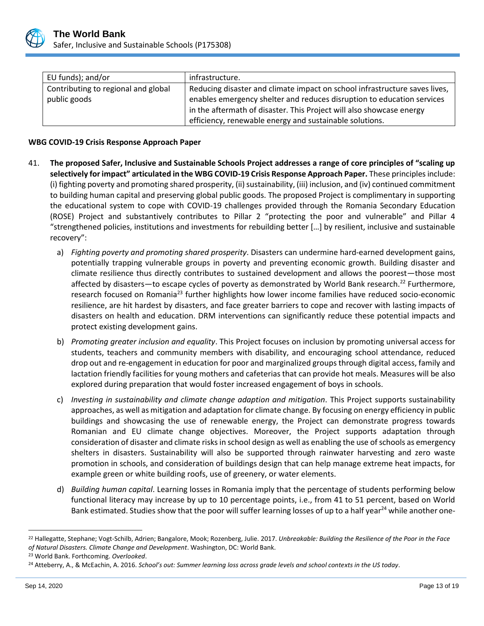

| EU funds); and/or                   | infrastructure.                                                            |
|-------------------------------------|----------------------------------------------------------------------------|
| Contributing to regional and global | Reducing disaster and climate impact on school infrastructure saves lives, |
| public goods                        | enables emergency shelter and reduces disruption to education services     |
|                                     | in the aftermath of disaster. This Project will also showcase energy       |
|                                     | efficiency, renewable energy and sustainable solutions.                    |

#### **WBG COVID-19 Crisis Response Approach Paper**

- 41. **The proposed Safer, Inclusive and Sustainable Schools Project addresses a range of core principles of "scaling up selectively for impact" articulated in the WBG COVID-19 Crisis Response Approach Paper.** These principles include: (i) fighting poverty and promoting shared prosperity, (ii) sustainability, (iii) inclusion, and (iv) continued commitment to building human capital and preserving global public goods. The proposed Project is complimentary in supporting the educational system to cope with COVID-19 challenges provided through the Romania Secondary Education (ROSE) Project and substantively contributes to Pillar 2 "protecting the poor and vulnerable" and Pillar 4 "strengthened policies, institutions and investments for rebuilding better […] by resilient, inclusive and sustainable recovery":
	- a) *Fighting poverty and promoting shared prosperity*. Disasters can undermine hard-earned development gains, potentially trapping vulnerable groups in poverty and preventing economic growth. Building disaster and climate resilience thus directly contributes to sustained development and allows the poorest—those most affected by disasters—to escape cycles of poverty as demonstrated by World Bank research.<sup>22</sup> Furthermore, research focused on Romania<sup>23</sup> further highlights how lower income families have reduced socio-economic resilience, are hit hardest by disasters, and face greater barriers to cope and recover with lasting impacts of disasters on health and education. DRM interventions can significantly reduce these potential impacts and protect existing development gains.
	- b) *Promoting greater inclusion and equality*. This Project focuses on inclusion by promoting universal access for students, teachers and community members with disability, and encouraging school attendance, reduced drop out and re-engagement in education for poor and marginalized groups through digital access, family and lactation friendly facilities for young mothers and cafeterias that can provide hot meals. Measures will be also explored during preparation that would foster increased engagement of boys in schools.
	- c) *Investing in sustainability and climate change adaption and mitigation*. This Project supports sustainability approaches, as well as mitigation and adaptation for climate change. By focusing on energy efficiency in public buildings and showcasing the use of renewable energy, the Project can demonstrate progress towards Romanian and EU climate change objectives. Moreover, the Project supports adaptation through consideration of disaster and climate risks in school design as well as enabling the use of schools as emergency shelters in disasters. Sustainability will also be supported through rainwater harvesting and zero waste promotion in schools, and consideration of buildings design that can help manage extreme heat impacts, for example green or white building roofs, use of greenery, or water elements.
	- d) *Building human capital*. Learning losses in Romania imply that the percentage of students performing below functional literacy may increase by up to 10 percentage points, i.e., from 41 to 51 percent, based on World Bank estimated. Studies show that the poor will suffer learning losses of up to a half year<sup>24</sup> while another one-

<sup>22</sup> Hallegatte, Stephane; Vogt-Schilb, Adrien; Bangalore, Mook; Rozenberg, Julie. 2017. *Unbreakable: Building the Resilience of the Poor in the Face of Natural Disasters. Climate Change and Development*. Washington, DC: World Bank.

<sup>23</sup> World Bank. Forthcoming. *Overlooked*.

<sup>24</sup> Atteberry, A., & McEachin, A. 2016. *School's out: Summer learning loss across grade levels and school contexts in the US today*.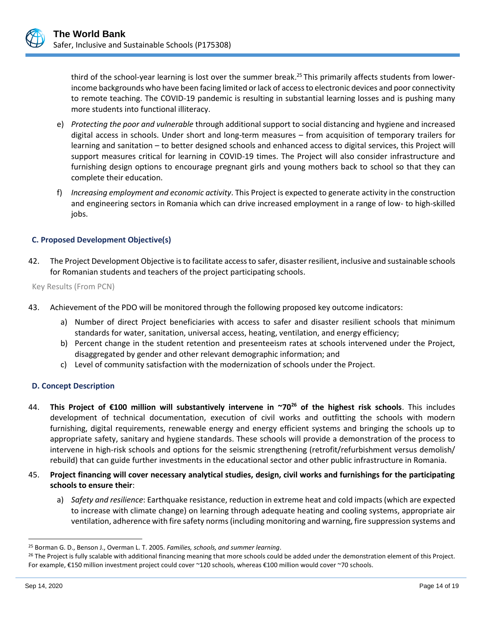third of the school-year learning is lost over the summer break.<sup>25</sup> This primarily affects students from lowerincome backgrounds who have been facing limited or lack of access to electronic devices and poor connectivity to remote teaching. The COVID-19 pandemic is resulting in substantial learning losses and is pushing many more students into functional illiteracy.

- e) *Protecting the poor and vulnerable* through additional support to social distancing and hygiene and increased digital access in schools. Under short and long-term measures – from acquisition of temporary trailers for learning and sanitation – to better designed schools and enhanced access to digital services, this Project will support measures critical for learning in COVID-19 times. The Project will also consider infrastructure and furnishing design options to encourage pregnant girls and young mothers back to school so that they can complete their education.
- f) *Increasing employment and economic activity*. This Project is expected to generate activity in the construction and engineering sectors in Romania which can drive increased employment in a range of low- to high-skilled jobs.

## **C. Proposed Development Objective(s)**

42. The Project Development Objective is to facilitate access to safer, disaster resilient, inclusive and sustainable schools for Romanian students and teachers of the project participating schools.

Key Results (From PCN)

- 43. Achievement of the PDO will be monitored through the following proposed key outcome indicators:
	- a) Number of direct Project beneficiaries with access to safer and disaster resilient schools that minimum standards for water, sanitation, universal access, heating, ventilation, and energy efficiency;
	- b) Percent change in the student retention and presenteeism rates at schools intervened under the Project, disaggregated by gender and other relevant demographic information; and
	- c) Level of community satisfaction with the modernization of schools under the Project.

## **D. Concept Description**

- 44. **This Project of €100 million will substantively intervene in ~70<sup>26</sup> of the highest risk schools**. This includes development of technical documentation, execution of civil works and outfitting the schools with modern furnishing, digital requirements, renewable energy and energy efficient systems and bringing the schools up to appropriate safety, sanitary and hygiene standards. These schools will provide a demonstration of the process to intervene in high-risk schools and options for the seismic strengthening (retrofit/refurbishment versus demolish/ rebuild) that can guide further investments in the educational sector and other public infrastructure in Romania.
- 45. **Project financing will cover necessary analytical studies, design, civil works and furnishings for the participating schools to ensure their**:
	- a) *Safety and resilience*: Earthquake resistance, reduction in extreme heat and cold impacts (which are expected to increase with climate change) on learning through adequate heating and cooling systems, appropriate air ventilation, adherence with fire safety norms (including monitoring and warning, fire suppression systems and

<sup>25</sup> Borman G. D., Benson J., Overman L. T. 2005. *Families, schools, and summer learning*.

<sup>&</sup>lt;sup>26</sup> The Project is fully scalable with additional financing meaning that more schools could be added under the demonstration element of this Project. For example, €150 million investment project could cover ~120 schools, whereas €100 million would cover ~70 schools.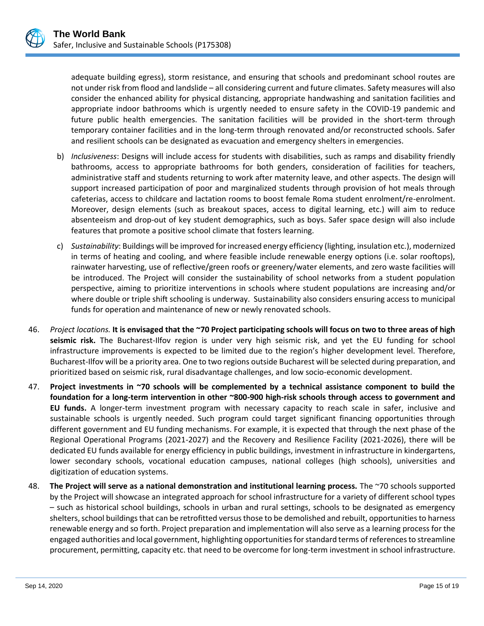

adequate building egress), storm resistance, and ensuring that schools and predominant school routes are not under risk from flood and landslide – all considering current and future climates. Safety measures will also consider the enhanced ability for physical distancing, appropriate handwashing and sanitation facilities and appropriate indoor bathrooms which is urgently needed to ensure safety in the COVID-19 pandemic and future public health emergencies. The sanitation facilities will be provided in the short-term through temporary container facilities and in the long-term through renovated and/or reconstructed schools. Safer and resilient schools can be designated as evacuation and emergency shelters in emergencies.

- b) *Inclusiveness*: Designs will include access for students with disabilities, such as ramps and disability friendly bathrooms, access to appropriate bathrooms for both genders, consideration of facilities for teachers, administrative staff and students returning to work after maternity leave, and other aspects. The design will support increased participation of poor and marginalized students through provision of hot meals through cafeterias, access to childcare and lactation rooms to boost female Roma student enrolment/re-enrolment. Moreover, design elements (such as breakout spaces, access to digital learning, etc.) will aim to reduce absenteeism and drop-out of key student demographics, such as boys. Safer space design will also include features that promote a positive school climate that fosters learning.
- c) *Sustainability*: Buildings will be improved for increased energy efficiency (lighting, insulation etc.), modernized in terms of heating and cooling, and where feasible include renewable energy options (i.e. solar rooftops), rainwater harvesting, use of reflective/green roofs or greenery/water elements, and zero waste facilities will be introduced. The Project will consider the sustainability of school networks from a student population perspective, aiming to prioritize interventions in schools where student populations are increasing and/or where double or triple shift schooling is underway. Sustainability also considers ensuring access to municipal funds for operation and maintenance of new or newly renovated schools.
- 46. *Project locations.* **It is envisaged that the ~70 Project participating schools will focus on two to three areas of high seismic risk.** The Bucharest-Ilfov region is under very high seismic risk, and yet the EU funding for school infrastructure improvements is expected to be limited due to the region's higher development level. Therefore, Bucharest-Ilfov will be a priority area. One to two regions outside Bucharest will be selected during preparation, and prioritized based on seismic risk, rural disadvantage challenges, and low socio-economic development.
- 47. **Project investments in ~70 schools will be complemented by a technical assistance component to build the foundation for a long-term intervention in other ~800-900 high-risk schools through access to government and EU funds.** A longer-term investment program with necessary capacity to reach scale in safer, inclusive and sustainable schools is urgently needed. Such program could target significant financing opportunities through different government and EU funding mechanisms. For example, it is expected that through the next phase of the Regional Operational Programs (2021-2027) and the Recovery and Resilience Facility (2021-2026), there will be dedicated EU funds available for energy efficiency in public buildings, investment in infrastructure in kindergartens, lower secondary schools, vocational education campuses, national colleges (high schools), universities and digitization of education systems.
- 48. **The Project will serve as a national demonstration and institutional learning process.** The ~70 schools supported by the Project will showcase an integrated approach for school infrastructure for a variety of different school types – such as historical school buildings, schools in urban and rural settings, schools to be designated as emergency shelters, school buildings that can be retrofitted versus those to be demolished and rebuilt, opportunities to harness renewable energy and so forth. Project preparation and implementation will also serve as a learning process for the engaged authorities and local government, highlighting opportunities for standard terms of references to streamline procurement, permitting, capacity etc. that need to be overcome for long-term investment in school infrastructure.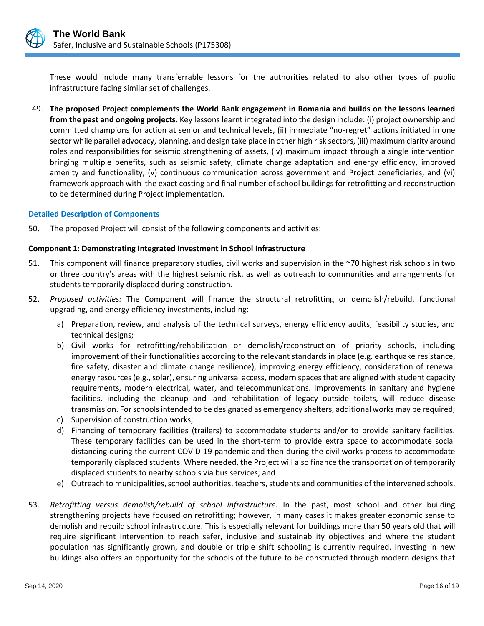

These would include many transferrable lessons for the authorities related to also other types of public infrastructure facing similar set of challenges.

49. **The proposed Project complements the World Bank engagement in Romania and builds on the lessons learned from the past and ongoing projects**. Key lessons learnt integrated into the design include: (i) project ownership and committed champions for action at senior and technical levels, (ii) immediate "no-regret" actions initiated in one sector while parallel advocacy, planning, and design take place in other high risk sectors, (iii) maximum clarity around roles and responsibilities for seismic strengthening of assets, (iv) maximum impact through a single intervention bringing multiple benefits, such as seismic safety, climate change adaptation and energy efficiency, improved amenity and functionality, (v) continuous communication across government and Project beneficiaries, and (vi) framework approach with the exact costing and final number of school buildings for retrofitting and reconstruction to be determined during Project implementation.

#### **Detailed Description of Components**

50. The proposed Project will consist of the following components and activities:

#### **Component 1: Demonstrating Integrated Investment in School Infrastructure**

- 51. This component will finance preparatory studies, civil works and supervision in the ~70 highest risk schools in two or three country's areas with the highest seismic risk, as well as outreach to communities and arrangements for students temporarily displaced during construction.
- 52. *Proposed activities:* The Component will finance the structural retrofitting or demolish/rebuild, functional upgrading, and energy efficiency investments, including:
	- a) Preparation, review, and analysis of the technical surveys, energy efficiency audits, feasibility studies, and technical designs;
	- b) Civil works for retrofitting/rehabilitation or demolish/reconstruction of priority schools, including improvement of their functionalities according to the relevant standards in place (e.g. earthquake resistance, fire safety, disaster and climate change resilience), improving energy efficiency, consideration of renewal energy resources (e.g., solar), ensuring universal access, modern spaces that are aligned with student capacity requirements, modern electrical, water, and telecommunications. Improvements in sanitary and hygiene facilities, including the cleanup and land rehabilitation of legacy outside toilets, will reduce disease transmission. For schools intended to be designated as emergency shelters, additional works may be required;
	- c) Supervision of construction works;
	- d) Financing of temporary facilities (trailers) to accommodate students and/or to provide sanitary facilities. These temporary facilities can be used in the short-term to provide extra space to accommodate social distancing during the current COVID-19 pandemic and then during the civil works process to accommodate temporarily displaced students. Where needed, the Project will also finance the transportation of temporarily displaced students to nearby schools via bus services; and
	- e) Outreach to municipalities, school authorities, teachers, students and communities of the intervened schools.
- 53. *Retrofitting versus demolish/rebuild of school infrastructure.* In the past, most school and other building strengthening projects have focused on retrofitting; however, in many cases it makes greater economic sense to demolish and rebuild school infrastructure. This is especially relevant for buildings more than 50 years old that will require significant intervention to reach safer, inclusive and sustainability objectives and where the student population has significantly grown, and double or triple shift schooling is currently required. Investing in new buildings also offers an opportunity for the schools of the future to be constructed through modern designs that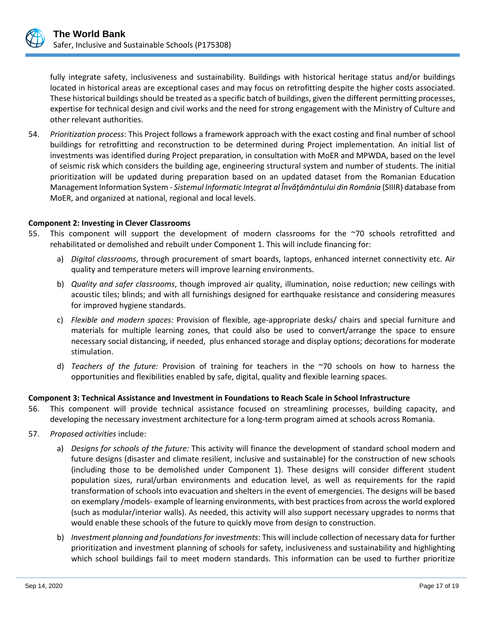

fully integrate safety, inclusiveness and sustainability. Buildings with historical heritage status and/or buildings located in historical areas are exceptional cases and may focus on retrofitting despite the higher costs associated. These historical buildings should be treated as a specific batch of buildings, given the different permitting processes, expertise for technical design and civil works and the need for strong engagement with the Ministry of Culture and other relevant authorities.

54. *Prioritization process*: This Project follows a framework approach with the exact costing and final number of school buildings for retrofitting and reconstruction to be determined during Project implementation. An initial list of investments was identified during Project preparation, in consultation with MoER and MPWDA, based on the level of seismic risk which considers the building age, engineering structural system and number of students. The initial prioritization will be updated during preparation based on an updated dataset from the Romanian Education Management Information System - *Sistemul Informatic Integrat al Învăţământului din România* (SIIIR) database from MoER, and organized at national, regional and local levels.

#### **Component 2: Investing in Clever Classrooms**

- 55. This component will support the development of modern classrooms for the ~70 schools retrofitted and rehabilitated or demolished and rebuilt under Component 1. This will include financing for:
	- a) *Digital classrooms*, through procurement of smart boards, laptops, enhanced internet connectivity etc. Air quality and temperature meters will improve learning environments.
	- b) *Quality and safer classrooms*, though improved air quality, illumination, noise reduction; new ceilings with acoustic tiles; blinds; and with all furnishings designed for earthquake resistance and considering measures for improved hygiene standards.
	- c) *Flexible and modern spaces:* Provision of flexible, age-appropriate desks/ chairs and special furniture and materials for multiple learning zones, that could also be used to convert/arrange the space to ensure necessary social distancing, if needed, plus enhanced storage and display options; decorations for moderate stimulation.
	- d) *Teachers of the future:* Provision of training for teachers in the ~70 schools on how to harness the opportunities and flexibilities enabled by safe, digital, quality and flexible learning spaces.

#### **Component 3: Technical Assistance and Investment in Foundations to Reach Scale in School Infrastructure**

- 56. This component will provide technical assistance focused on streamlining processes, building capacity, and developing the necessary investment architecture for a long-term program aimed at schools across Romania.
- 57. *Proposed activities* include:
	- a) *Designs for schools of the future:* This activity will finance the development of standard school modern and future designs (disaster and climate resilient, inclusive and sustainable) for the construction of new schools (including those to be demolished under Component 1). These designs will consider different student population sizes, rural/urban environments and education level, as well as requirements for the rapid transformation of schools into evacuation and shelters in the event of emergencies. The designs will be based on exemplary /models- example of learning environments, with best practices from across the world explored (such as modular/interior walls). As needed, this activity will also support necessary upgrades to norms that would enable these schools of the future to quickly move from design to construction.
	- b) *Investment planning and foundations for investments*: This will include collection of necessary data for further prioritization and investment planning of schools for safety, inclusiveness and sustainability and highlighting which school buildings fail to meet modern standards. This information can be used to further prioritize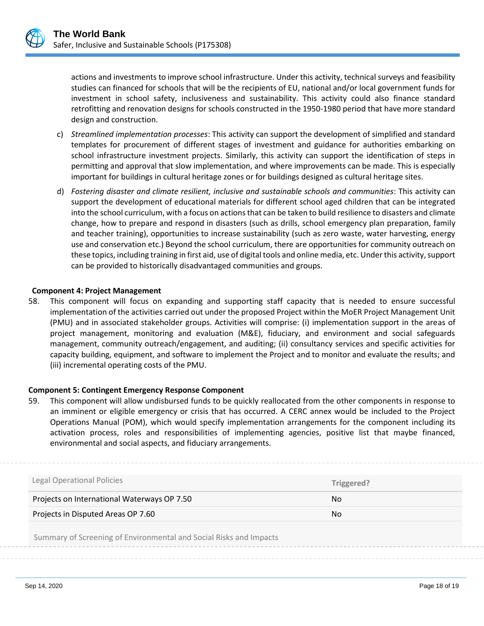

actions and investments to improve school infrastructure. Under this activity, technical surveys and feasibility studies can financed for schools that will be the recipients of EU, national and/or local government funds for investment in school safety, inclusiveness and sustainability. This activity could also finance standard retrofitting and renovation designs for schools constructed in the 1950-1980 period that have more standard design and construction.

- c) *Streamlined implementation processes*: This activity can support the development of simplified and standard templates for procurement of different stages of investment and guidance for authorities embarking on school infrastructure investment projects. Similarly, this activity can support the identification of steps in permitting and approval that slow implementation, and where improvements can be made. This is especially important for buildings in cultural heritage zones or for buildings designed as cultural heritage sites.
- d) *Fostering disaster and climate resilient, inclusive and sustainable schools and communities*: This activity can support the development of educational materials for different school aged children that can be integrated into the school curriculum, with a focus on actions that can be taken to build resilience to disasters and climate change, how to prepare and respond in disasters (such as drills, school emergency plan preparation, family and teacher training), opportunities to increase sustainability (such as zero waste, water harvesting, energy use and conservation etc.) Beyond the school curriculum, there are opportunities for community outreach on these topics, including training in first aid, use of digital tools and online media, etc. Under this activity, support can be provided to historically disadvantaged communities and groups.

#### **Component 4: Project Management**

58. This component will focus on expanding and supporting staff capacity that is needed to ensure successful implementation of the activities carried out under the proposed Project within the MoER Project Management Unit (PMU) and in associated stakeholder groups. Activities will comprise: (i) implementation support in the areas of project management, monitoring and evaluation (M&E), fiduciary, and environment and social safeguards management, community outreach/engagement, and auditing; (ii) consultancy services and specific activities for capacity building, equipment, and software to implement the Project and to monitor and evaluate the results; and (iii) incremental operating costs of the PMU.

#### **Component 5: Contingent Emergency Response Component**

59. This component will allow undisbursed funds to be quickly reallocated from the other components in response to an imminent or eligible emergency or crisis that has occurred. A CERC annex would be included to the Project Operations Manual (POM), which would specify implementation arrangements for the component including its activation process, roles and responsibilities of implementing agencies, positive list that maybe financed, environmental and social aspects, and fiduciary arrangements.

| <b>Legal Operational Policies</b>                                  | Triggered? |
|--------------------------------------------------------------------|------------|
| Projects on International Waterways OP 7.50                        | No         |
| Projects in Disputed Areas OP 7.60                                 | No         |
| Summary of Screening of Environmental and Social Risks and Impacts |            |